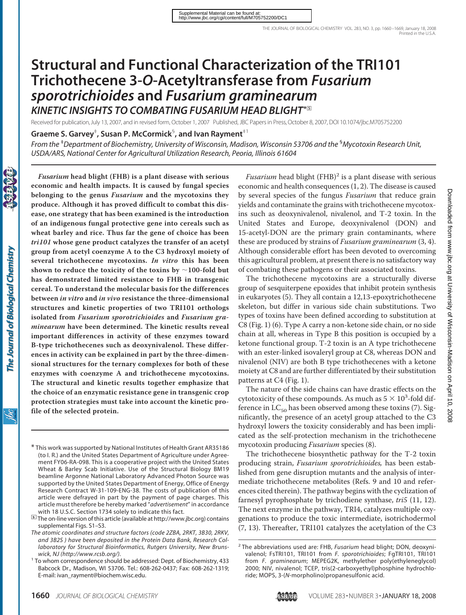# **Structural and Functional Characterization of the TRI101 Trichothecene 3-***O***-Acetyltransferase from** *Fusarium sporotrichioides* **and** *Fusarium graminearum KINETIC INSIGHTS TO COMBATING FUSARIUM HEAD BLIGHT***\***□**<sup>S</sup>**

Received for publication, July 13, 2007, and in revised form, October 1, 2007 Published, JBC Papers in Press,October 8, 2007, DOI 10.1074/jbc.M705752200

**Graeme S. Garvey**‡ **, Susan P. McCormick**§ **, and Ivan Rayment**‡1

*Fusarium* **head blight (FHB) is a plant disease with serious**

*From the* ‡ *Department of Biochemistry, University of Wisconsin, Madison, Wisconsin 53706 and the* § *Mycotoxin Research Unit, USDA/ARS, National Center for Agricultural Utilization Research, Peoria, Illinois 61604*

**economic and health impacts. It is caused by fungal species belonging to the genus** *Fusarium* **and the mycotoxins they produce. Although it has proved difficult to combat this disease, one strategy that has been examined is the introduction of an indigenous fungal protective gene into cereals such as wheat barley and rice. Thus far the gene of choice has been** *tri101* **whose gene product catalyzes the transfer of an acetyl group from acetyl coenzyme A to the C3 hydroxyl moiety of several trichothecene mycotoxins.** *In vitro* **this has been** shown to reduce the toxicity of the toxins by  $\sim$ 100-fold but **has demonstrated limited resistance to FHB in transgenic cereal. To understand the molecular basis for the differences between** *in vitro* **and** *in vivo* **resistance the three-dimensional structures and kinetic properties of two TRI101 orthologs isolated from** *Fusarium sporotrichioides* **and** *Fusarium graminearum* **have been determined. The kinetic results reveal important differences in activity of these enzymes toward B-type trichothecenes such as deoxynivalenol. These differences in activity can be explained in part by the three-dimensional structures for the ternary complexes for both of these enzymes with coenzyme A and trichothecene mycotoxins. The structural and kinetic results together emphasize that the choice of an enzymatic resistance gene in transgenic crop protection strategies must take into account the kinetic profile of the selected protein.**

*Fusarium* head blight  $(FHB)^2$  is a plant disease with serious economic and health consequences (1, 2). The disease is caused by several species of the fungus *Fusarium* that reduce grain yields and contaminate the grains with trichothecene mycotoxins such as deoxynivalenol, nivalenol, and T-2 toxin. In the United States and Europe, deoxynivalenol (DON) and 15-acetyl-DON are the primary grain contaminants, where these are produced by strains of *Fusarium graminearum* (3, 4). Although considerable effort has been devoted to overcoming this agricultural problem, at present there is no satisfactory way of combating these pathogens or their associated toxins.

The trichothecene mycotoxins are a structurally diverse group of sesquiterpene epoxides that inhibit protein synthesis in eukaryotes (5). They all contain a 12,13-epoxytrichothecene skeleton, but differ in various side chain substitutions. Two types of toxins have been defined according to substitution at C8 (Fig. 1) (6). Type A carry a non-ketone side chain, or no side chain at all, whereas in Type B this position is occupied by a ketone functional group. T-2 toxin is an A type trichothecene with an ester-linked isovaleryl group at C8, whereas DON and nivalenol (NIV) are both B type trichothecenes with a ketone moiety at C8 and are further differentiated by their substitution patterns at C4 (Fig. 1).

The nature of the side chains can have drastic effects on the cytotoxicity of these compounds. As much as  $5 \times 10^3$ -fold difference in  $LC_{50}$  has been observed among these toxins (7). Significantly, the presence of an acetyl group attached to the C3 hydroxyl lowers the toxicity considerably and has been implicated as the self-protection mechanism in the trichothecene mycotoxin producing *Fusarium* species (8).

The trichothecene biosynthetic pathway for the T-2 toxin producing strain, *Fusarium sporotrichioides,* has been established from gene disruption mutants and the analysis of intermediate trichothecene metabolites (Refs. 9 and 10 and references cited therein). The pathway begins with the cyclization of farnesyl pyrophosphate by trichodiene synthase, *tri5* (11, 12). The next enzyme in the pathway, TRI4, catalyzes multiple oxygenations to produce the toxic intermediate, isotrichodermol (7, 13). Thereafter, TRI101 catalyzes the acetylation of the C3

<sup>\*</sup> This work was supported by National Institutes of Health Grant AR35186 (to I. R.) and the United States Department of Agriculture under Agreement FY06-RA-098. This is a cooperative project with the United States Wheat & Barley Scab Initiative. Use of the Structural Biology BM19 beamline Argonne National Laboratory Advanced Photon Source was supported by the United States Department of Energy, Office of Energy Research Contract W-31-109-ENG-38. The costs of publication of this article were defrayed in part by the payment of page charges. This article must therefore be hereby marked "*advertisement*" in accordance

with 18 U.S.C. Section 1734 solely to indicate this fact.<br>**<u>□</u>** The on-line version of this article (available at http://www.jbc.org) contains supplemental Figs. S1–S3.

*The atomic coordinates and structure factors (code 2ZBA, 2RKT, 3B30, 2RKV, and 3B2S ) have been deposited in the Protein Data Bank, Research Collaboratory for Structural Bioinformatics, Rutgers University, New Brunswick, NJ (http://www.rcsb.org/).* <sup>1</sup> To whom correspondence should be addressed: Dept. of Biochemistry, 433

Babcock Dr., Madison, WI 53706. Tel.: 608-262-0437; Fax: 608-262-1319; E-mail: ivan\_rayment@biochem.wisc.edu.

<sup>2</sup> The abbreviations used are: FHB, *Fusarium* head blight; DON, deoxynivalenol; FsTRI101, TRI101 from *F. sporotrichioides*; FgTRI101, TRI101 from *F. graminearum*; MEPEG2K, methylether poly(ethyleneglycol) 2000; NIV, nivalenol; TCEP, tris(2-carboxyethyl)phosphine hydrochloride; MOPS, 3-(*N*-morpholino)propanesulfonic acid.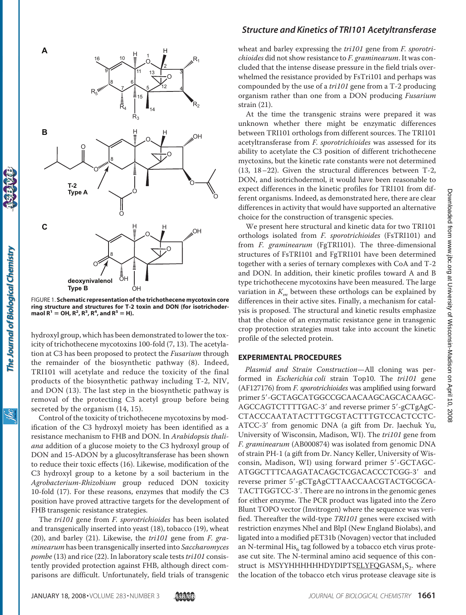

OH FIGURE 1. **Schematic representation of the trichothecene mycotoxin core ring structure and structures for T-2 toxin and DON (for isotrichoder-** $\text{maol } R^1 = \text{OH}, R^2, R^3, R^4, \text{and } R^5 = \text{H}.$ 

hydroxyl group, which has been demonstrated to lower the toxicity of trichothecene mycotoxins 100-fold (7, 13). The acetylation at C3 has been proposed to protect the *Fusarium* through the remainder of the biosynthetic pathway (8). Indeed, TRI101 will acetylate and reduce the toxicity of the final products of the biosynthetic pathway including T-2, NIV, and DON (13). The last step in the biosynthetic pathway is removal of the protecting C3 acetyl group before being secreted by the organism (14, 15).

Control of the toxicity of trichothecene mycotoxins by modification of the C3 hydroxyl moiety has been identified as a resistance mechanism to FHB and DON. In *Arabidopsis thaliana* addition of a glucose moiety to the C3 hydroxyl group of DON and 15-ADON by a glucosyltransferase has been shown to reduce their toxic effects (16). Likewise, modification of the C3 hydroxyl group to a ketone by a soil bacterium in the *Agrobacterium-Rhizobium* group reduced DON toxicity 10-fold (17). For these reasons, enzymes that modify the C3 position have proved attractive targets for the development of FHB transgenic resistance strategies.

The *tri101* gene from *F. sporotrichioides* has been isolated and transgenically inserted into yeast (18), tobacco (19), wheat (20), and barley (21). Likewise, the *tri101* gene from *F. graminearum* has been transgenically inserted into *Saccharomyces pombe* (13) and rice (22). In laboratory scale tests*tri101* consistently provided protection against FHB, although direct comparisons are difficult. Unfortunately, field trials of transgenic

### *Structure and Kinetics of TRI101 Acetyltransferase*

wheat and barley expressing the *tri101* gene from *F. sporotrichioides* did not show resistance to *F. graminearum*. It was concluded that the intense disease pressure in the field trials overwhelmed the resistance provided by FsTri101 and perhaps was compounded by the use of a *tri101* gene from a T-2 producing organism rather than one from a DON producing *Fusarium* strain (21).

At the time the transgenic strains were prepared it was unknown whether there might be enzymatic differences between TRI101 orthologs from different sources. The TRI101 acetyltransferase from *F. sporotrichioides* was assessed for its ability to acetylate the C3 position of different trichothecene myctoxins, but the kinetic rate constants were not determined (13, 18–22). Given the structural differences between T-2, DON, and isotrichodermol, it would have been reasonable to expect differences in the kinetic profiles for TRI101 from different organisms. Indeed, as demonstrated here, there are clear differences in activity that would have supported an alternative choice for the construction of transgenic species.

We present here structural and kinetic data for two TRI101 orthologs isolated from *F. sporotrichioides* (FsTRI101) and from *F. graminearum* (FgTRI101). The three-dimensional structures of FsTRI101 and FgTRI101 have been determined together with a series of ternary complexes with CoA and T-2 and DON. In addition, their kinetic profiles toward A and B type trichothecene mycotoxins have been measured. The large variation in  $K_m$  between these orthologs can be explained by differences in their active sites. Finally, a mechanism for catalysis is proposed. The structural and kinetic results emphasize that the choice of an enzymatic resistance gene in transgenic crop protection strategies must take into account the kinetic profile of the selected protein.

#### **EXPERIMENTAL PROCEDURES**

*Plasmid and Strain Construction*—All cloning was performed in *Escherichia coli* strain Top10. The *tri101* gene (AF127176) from *F. sporotrichioides* was amplified using forward primer 5'-GCTAGCATGGCCGCAACAAGCAGCACAAGC-AGCCAGTCTTTTGAC-3' and reverse primer 5'-gCTgAgC-CTACCCAATATACTTTGCGTACTTTGTCCACTCCTC-ATCC-3' from genomic DNA (a gift from Dr. Jaechuk Yu, University of Wisconsin, Madison, WI). The *tri101* gene from *F. graminearum* (AB000874) was isolated from genomic DNA of strain PH-1 (a gift from Dr. Nancy Keller, University of Wisconsin, Madison, WI) using forward primer 5'-GCTAGC-ATGGCTTTCAAGATACAGCTCGACACCCTCGG-3' and reverse primer 5'-gCTgAgCTTAACCAACGTACTGCGCA-TACTTGGTCC-3'. There are no introns in the genomic genes for either enzyme. The PCR product was ligated into the Zero Blunt TOPO vector (Invitrogen) where the sequence was verified. Thereafter the wild-type *TRI101* genes were excised with restriction enzymes NheI and BlpI (New England Biolabs), and ligated into a modified pET31b (Novagen) vector that included an N-terminal  $His<sub>6</sub>$  tag followed by a tobacco etch virus protease cut site. The N-terminal amino acid sequence of this construct is MSYYHHHHHHDYDIPTS $ELYFQGASM_1S_2$ . where the location of the tobacco etch virus protease cleavage site is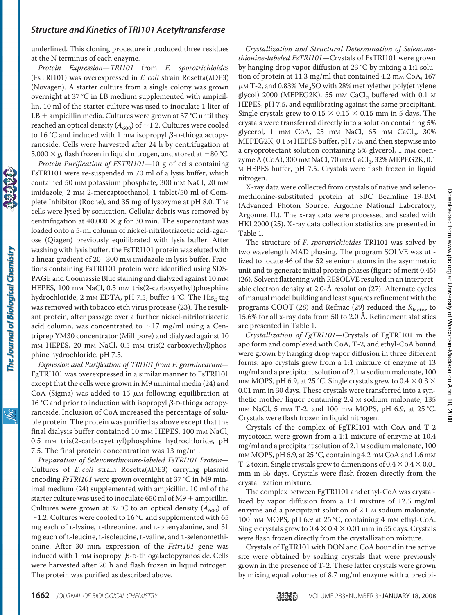underlined. This cloning procedure introduced three residues at the N terminus of each enzyme.

*Protein Expression*—*TRI101* from *F. sporotrichioides* (FsTRI101) was overexpressed in *E. coli* strain Rosetta( $\lambda$ DE3) (Novagen). A starter culture from a single colony was grown overnight at 37 °C in LB medium supplemented with ampicillin. 10 ml of the starter culture was used to inoculate 1 liter of  $LB$  + ampicillin media. Cultures were grown at 37 °C until they reached an optical density ( $A_{600}$ ) of  $\sim$  1.2. Cultures were cooled to 16 °C and induced with 1 mm isopropyl  $\beta$ -D-thiogalactopyranoside. Cells were harvested after 24 h by centrifugation at 5,000  $\times$  g, flash frozen in liquid nitrogen, and stored at  $-$  80 °C.

*Protein Purification of FSTRI101*—10 g of cells containing FsTRI101 were re-suspended in 70 ml of a lysis buffer, which contained 50 mM potassium phosphate, 300 mM NaCl, 20 mM imidazole, 2 mm 2-mercaptoethanol, 1 tablet/50 ml of Complete Inhibitor (Roche), and 35 mg of lysozyme at pH 8.0. The cells were lysed by sonication. Cellular debris was removed by centrifugation at 40,000  $\times$  *g* for 30 min. The supernatant was loaded onto a 5-ml column of nickel-nitrilotriacetic acid-agarose (Qiagen) previously equilibrated with lysis buffer. After washing with lysis buffer, the FsTRI101 protein was eluted with a linear gradient of 20–300 mm imidazole in lysis buffer. Fractions containing FsTRI101 protein were identified using SDS-PAGE and Coomassie Blue staining and dialyzed against 10 mm HEPES, 100 mm NaCl, 0.5 mm tris(2-carboxyethyl)phosphine hydrochloride, 2 mm EDTA, pH 7.5, buffer 4 °C. The His<sub>6</sub> tag was removed with tobacco etch virus protease (23). The resultant protein, after passage over a further nickel-nitrilotriacetic acid column, was concentrated to  $\sim$ 17 mg/ml using a Centriprep YM30 concentrator (Millipore) and dialyzed against 10 mM HEPES, 20 mM NaCl, 0.5 mM tris(2-carboxyethyl)phosphine hydrochloride, pH 7.5.

*Expression and Purification of TRI101 from F. graminearum*— FgTRI101 was overexpressed in a similar manner to FsTRI101 except that the cells were grown in M9 minimal media (24) and CoA (Sigma) was added to 15  $\mu$ M following equilibration at 16 °C and prior to induction with isopropyl  $\beta$ -D-thiogalactopyranoside. Inclusion of CoA increased the percentage of soluble protein. The protein was purified as above except that the final dialysis buffer contained 10 mm HEPES, 100 mm NaCl, 0.5 mM tris(2-carboxyethyl)phosphine hydrochloride, pH 7.5. The final protein concentration was 13 mg/ml.

*Preparation of Selenomethionine-labeled FsTRI101 Protein*— Cultures of *E. coli* strain Rosetta(λDE3) carrying plasmid encoding *FsTRi101* were grown overnight at 37 °C in M9 minimal medium (24) supplemented with ampicillin. 10 ml of the starter culture was used to inoculate 650 ml of  $M9$  + ampicillin. Cultures were grown at 37 °C to an optical density  $(A_{600})$  of  $\sim$ 1.2. Cultures were cooled to 16 °C and supplemented with 65 mg each of L-lysine, L-threonine, and L-phenyalanine, and 31 mg each of L-leucine, L-isoleucine, L-valine, and L-selenomethionine. After 30 min, expression of the *Fstri101* gene was induced with 1 mm isopropyl  $\beta$ -<code>D-thiogalactopyranoside. Cells</code> were harvested after 20 h and flash frozen in liquid nitrogen. The protein was purified as described above.

*Crystallization and Structural Determination of Selenomethionine-labeled FsTRI101*—Crystals of FsTRI101 were grown by hanging drop vapor diffusion at 23 °C by mixing a 1:1 solution of protein at 11.3 mg/ml that contained 4.2 mm CoA, 167  $\mu$ M T-2, and 0.83% Me<sub>2</sub>SO with 28% methylether poly(ethylene glycol) 2000 (MEPEG2K), 55 mm CaCl<sub>2</sub> buffered with 0.1  $\text{M}$ HEPES, pH 7.5, and equilibrating against the same precipitant. Single crystals grew to  $0.15 \times 0.15 \times 0.15$  mm in 5 days. The crystals were transferred directly into a solution containing 5% glycerol,  $1 \text{ mm } CoA$ ,  $25 \text{ mm } NaCl$ ,  $65 \text{ mm } CaCl$ <sub>2</sub>,  $30\%$ MEPEG2K, 0.1 M HEPES buffer, pH 7.5, and then stepwise into a cryoprotectant solution containing 5% glycerol, 1 mm coenzyme A (CoA), 300 mm NaCl, 70 mm CaCl<sub>2</sub>, 32% MEPEG2K, 0.1 M HEPES buffer, pH 7.5. Crystals were flash frozen in liquid nitrogen.

X-ray data were collected from crystals of native and selenomethionine-substituted protein at SBC Beamline 19-BM (Advanced Photon Source, Argonne National Laboratory, Argonne, IL). The x-ray data were processed and scaled with HKL2000 (25). X-ray data collection statistics are presented in Table 1.

The structure of *F. sporotrichioides* TRI101 was solved by two wavelength MAD phasing. The program SOLVE was utilized to locate 46 of the 52 selenium atoms in the asymmetric unit and to generate initial protein phases (figure of merit 0.45) (26). Solvent flattening with RESOLVE resulted in an interpretable electron density at 2.0-Å resolution (27). Alternate cycles of manual model building and least squares refinement with the programs COOT (28) and Refmac (29) reduced the *R*<sub>factor</sub> to 15.6% for all x-ray data from 50 to 2.0 Å. Refinement statistics are presented in Table 1.

*Crystallization of FgTRI101*—Crystals of FgTRI101 in the apo form and complexed with CoA, T-2, and ethyl-CoA bound were grown by hanging drop vapor diffusion in three different forms: apo crystals grew from a 1:1 mixture of enzyme at 13 mg/ml and a precipitant solution of 2.1 M sodium malonate, 100 mм MOPS, pH 6.9, at 25 °C. Single crystals grew to 0.4  $\times$  0.3  $\times$ 0.01 mm in 30 days. These crystals were transferred into a synthetic mother liquor containing 2.4 M sodium malonate, 135 mM NaCl, 5 mM T-2, and 100 mM MOPS, pH 6.9, at 25 °C. Crystals were flash frozen in liquid nitrogen.

Crystals of the complex of FgTRI101 with CoA and T-2 mycotoxin were grown from a 1:1 mixture of enzyme at 10.4 mg/ml and a precipitant solution of 2.1 M sodium malonate, 100 m<sub>M</sub> MOPS, pH 6.9, at 25 °C, containing 4.2 m<sub>M</sub> CoA and 1.6 m<sub>M</sub> T-2 toxin. Single crystals grew to dimensions of  $0.4 \times 0.4 \times 0.01$ mm in 55 days. Crystals were flash frozen directly from the crystallization mixture.

The complex between FgTRI101 and ethyl-CoA was crystallized by vapor diffusion from a 1:1 mixture of 12.5 mg/ml enzyme and a precipitant solution of 2.1 M sodium malonate, 100 mM MOPS, pH 6.9 at 25 °C, containing 4 mM ethyl-CoA. Single crystals grew to  $0.4 \times 0.4 \times 0.01$  mm in 55 days. Crystals were flash frozen directly from the crystallization mixture.

Crystals of FgTR101 with DON and CoA bound in the active site were obtained by soaking crystals that were previously grown in the presence of T-2. These latter crystals were grown by mixing equal volumes of 8.7 mg/ml enzyme with a precipi-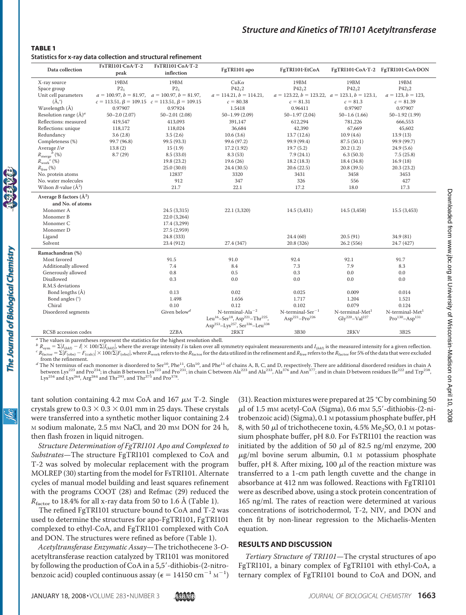#### TABLE 1

**Statistics for x-ray data collection and structural refinement**

| Data collection                                 | FsTRI101.CoA.T-2<br>peak | FsTRI101.CoA.T-2<br>inflection                            | FgTRI101 apo                                                                                                                                                                                          | FgTRI101.EtCoA                                                            |                                                           | FgTRI101.CoA.T-2 FgTRI101.CoA.DON                      |
|-------------------------------------------------|--------------------------|-----------------------------------------------------------|-------------------------------------------------------------------------------------------------------------------------------------------------------------------------------------------------------|---------------------------------------------------------------------------|-----------------------------------------------------------|--------------------------------------------------------|
| X-ray source                                    | 19BM                     | 19BM                                                      | $CuK\alpha$                                                                                                                                                                                           | 19BM                                                                      | 19BM                                                      | 19BM                                                   |
| Space group                                     | $P2_1$                   | $P2_1$                                                    | $P_{42,2}$                                                                                                                                                                                            | $P42_12$                                                                  | $P_{42,2}$                                                | $P_{42,2}$                                             |
| Unit cell parameters                            |                          | $a = 100.97, b = 81.97, a = 100.97, b = 81.97,$           | $a = 114.21, b = 114.21,$                                                                                                                                                                             | $a = 123.22, b = 123.22, a = 123.1, b = 123.1,$                           |                                                           | $a = 123, b = 123,$                                    |
| $(\AA, \degree)$                                |                          | $c = 113.51, \beta = 109.15$ $c = 113.51, \beta = 109.15$ | $c = 80.38$                                                                                                                                                                                           | $c = 81.31$                                                               | $c = 81.3$                                                | $c = 81.39$                                            |
| Wavelength (Å)                                  | 0.97907                  | 0.97924                                                   | 1.5418                                                                                                                                                                                                | 0.96411                                                                   | 0.97907                                                   | 0.97907                                                |
| Resolution range $(\AA)^a$                      | $50 - 2.0(2.07)$         | $50 - 2.01(2.08)$                                         | $50 - 1.99(2.09)$                                                                                                                                                                                     | $50 - 1.97(2.04)$                                                         | $50 - 1.6(1.66)$                                          | $50 - 1.92$ (1.99)                                     |
| Reflections: measured                           | 419,547                  | 413,093                                                   | 391,147                                                                                                                                                                                               | 612,294                                                                   | 781,226                                                   | 666,553                                                |
| Reflections: unique                             | 118,172                  | 118,024                                                   | 36,684                                                                                                                                                                                                | 42,390                                                                    | 67,669                                                    | 45,602                                                 |
| Redundancy                                      | 3.6(2.8)                 | 3.5(2.6)                                                  | 10.6(3.6)                                                                                                                                                                                             | 13.7(12.6)                                                                | 10.9(4.6)                                                 | 13.9(13)                                               |
| Completeness (%)                                | 99.7 (96.8)              | 99.5 (93.3)                                               | 99.6 (97.2)                                                                                                                                                                                           | 99.9 (99.4)                                                               | 87.5(50.1)                                                | 99.9 (99.7)                                            |
| Average $I/\sigma$                              | 13.8(2)                  | 15(1.9)                                                   | 17.2 (1.92)                                                                                                                                                                                           | 19.7(5.2)                                                                 | 20.2(1.2)                                                 | 24.9(5.6)                                              |
| $R_\mathrm{merge}^{\qquad b}$ (%)               | 8.7(29)                  | 8.5(33.0)                                                 | 8.3(53)                                                                                                                                                                                               | 7.9(24.1)                                                                 | 6.3(50.3)                                                 | 7.5(25.8)                                              |
| $R_{work}^c$ (%)                                |                          | 19.8 (23.2)                                               | 19.6(26)                                                                                                                                                                                              | 18.2(18.3)                                                                | 18.4 (34.8)                                               | 16.9(18)                                               |
| $R_{\text{free}}$ (%)                           |                          | 25.0(30.0)                                                | 24.4 (30.5)                                                                                                                                                                                           | 20.6(22.5)                                                                | 20.8(39.5)                                                | 20.3(23.2)                                             |
| No. protein atoms                               |                          | 12837                                                     | 3320                                                                                                                                                                                                  | 3431                                                                      | 3458                                                      | 3453                                                   |
| No. water molecules                             |                          | 912                                                       | 347                                                                                                                                                                                                   | 326                                                                       | 556                                                       | 427                                                    |
| Wilson <i>B</i> -value $(\AA^2)$                |                          | 21.7                                                      | 22.1                                                                                                                                                                                                  | 17.2                                                                      | 18.0                                                      | 17.3                                                   |
| Average B factors $(\AA^2)$<br>and No. of atoms |                          |                                                           |                                                                                                                                                                                                       |                                                                           |                                                           |                                                        |
| Monomer A                                       |                          | 24.5 (3,315)                                              | 22.1 (3,320)                                                                                                                                                                                          | 14.5(3,431)                                                               | 14.5 (3,458)                                              | 15.5(3,453)                                            |
| Monomer B                                       |                          | 22.0 (3,264)                                              |                                                                                                                                                                                                       |                                                                           |                                                           |                                                        |
| Monomer C                                       |                          | 17.4 (3,299)                                              |                                                                                                                                                                                                       |                                                                           |                                                           |                                                        |
| Monomer D                                       |                          | 27.5 (2,959)                                              |                                                                                                                                                                                                       |                                                                           |                                                           |                                                        |
| Ligand                                          |                          | 24.8 (333)                                                |                                                                                                                                                                                                       | 24.4(60)                                                                  | 20.5(91)                                                  | 34.9(81)                                               |
| Solvent                                         |                          | 23.4 (912)                                                | 27.4 (347)                                                                                                                                                                                            | 20.8 (326)                                                                | 26.2(556)                                                 | 24.7 (427)                                             |
|                                                 |                          |                                                           |                                                                                                                                                                                                       |                                                                           |                                                           |                                                        |
| Ramachandran (%)                                |                          |                                                           |                                                                                                                                                                                                       |                                                                           |                                                           |                                                        |
| Most favored                                    |                          | 91.5                                                      | 91.0                                                                                                                                                                                                  | 92.4                                                                      | 92.1                                                      | 91.7                                                   |
| Additionally allowed                            |                          | 7.4                                                       | 8.4                                                                                                                                                                                                   | 7.3                                                                       | 7.9                                                       | 8.3                                                    |
| Generously allowed                              |                          | 0.8                                                       | 0.5                                                                                                                                                                                                   | 0.3                                                                       | 0.0                                                       | 0.0                                                    |
| Disallowed                                      |                          | 0.3                                                       | 0.0                                                                                                                                                                                                   | 0.0                                                                       | 0.0                                                       | 0.0                                                    |
| R.M.S deviations                                |                          |                                                           |                                                                                                                                                                                                       |                                                                           |                                                           |                                                        |
| Bond lengths (Å)                                |                          | 0.13                                                      | 0.02                                                                                                                                                                                                  | 0.025                                                                     | 0.009                                                     | 0.014                                                  |
| Bond angles (°)                                 |                          | 1.498                                                     | 1.656                                                                                                                                                                                                 | 1.717                                                                     | 1.204                                                     | 1.521                                                  |
| Chiral                                          |                          | 0.10                                                      | 0.12                                                                                                                                                                                                  | 0.102                                                                     | 0.079                                                     | 0.124                                                  |
| Disordered segments                             |                          | Given below <sup>d</sup>                                  | $N$ -terminal-Ala <sup>-2</sup><br>Leu <sup>16</sup> -Ser <sup>18</sup> , Asp <sup>221</sup> -Thr <sup>225</sup> ,<br>Asp <sup>253</sup> -Lys <sup>257</sup> , Ser <sup>336</sup> -Leu <sup>338</sup> | $N$ -terminal-Ser <sup>-1</sup><br>Asp <sup>221</sup> -Pro <sup>226</sup> | $N$ -terminal-Met <sup>1</sup><br>$Gly^{220} - Val^{227}$ | N-terminal-Met <sup>1</sup><br>$Pro^{130} - Asp^{131}$ |
| RCSB accession codes                            |                          | 2ZBA                                                      | 2RKT                                                                                                                                                                                                  | 3B30                                                                      | 2RKV                                                      | 3B2S                                                   |
|                                                 |                          |                                                           |                                                                                                                                                                                                       |                                                                           |                                                           |                                                        |

The values in parentheses represent the statistics for the highest resolution shell.

 $\frac{b}{R_{\text{sym}}} = \sum |I_{(hkl)} - I| \times 100/\sum |I_{(hkl)}|$  $^b$   $R_{\text{sym}} = \Sigma |I_{(hk)} - I| \times 100/\Sigma |I_{(hk0)}|$ , where the average intensity *I* is taken over all symmetry equivalent measurements and  $I_{(hk0)}$  is the measured intensity for a given reflection.<br><sup>c</sup>  $R_{\text{factor}} = \Sigma |F_{(\text{obs})} - F_{(\text{calc$ 

from the refinement.<br><sup>*d*</sup> The N terminus of each monomer is disordered to Ser<sup>10</sup>, Phe<sup>11</sup>, Gln<sup>10</sup>, and Phe<sup>11</sup> of chains A, B, C, and D, respectively. There are additional disordered residues in chain A between Lys<sup>223</sup> and Pro<sup>234</sup>; in chain B between Lys<sup>223</sup> and Pro<sup>231</sup>; in chain C between Ala<sup>223</sup> and Ala<sup>233</sup>, Ala<sup>376</sup> and Asn<sup>377</sup>; and in chain D between residues Ile<sup>222</sup> and Trp<sup>238</sup>, Lys<sup>254</sup> and Lys<sup>264</sup>, Arg<sup>284</sup> and Thr<sup>293</sup>, and Thr<sup>375</sup> and Pro<sup>378</sup>

tant solution containing 4.2 mm CoA and  $167 \mu m$  T-2. Single crystals grew to  $0.3 \times 0.3 \times 0.01$  mm in 25 days. These crystals were transferred into a synthetic mother liquor containing 2.4 M sodium malonate, 2.5 mM NaCl, and 20 mM DON for 24 h, then flash frozen in liquid nitrogen.

*Structure Determination of FgTRI101 Apo and Complexed to Substrates*—The structure FgTRI101 complexed to CoA and T-2 was solved by molecular replacement with the program MOLREP (30) starting from the model for FsTRI101. Alternate cycles of manual model building and least squares refinement with the programs COOT (28) and Refmac (29) reduced the  $R_{\text{factor}}$  to 18.4% for all x-ray data from 50 to 1.6 Å (Table 1).

The refined FgTRI101 structure bound to CoA and T-2 was used to determine the structures for apo-FgTRI101, FgTRI101 complexed to ethyl-CoA, and FgTRI101 complexed with CoA and DON. The structures were refined as before (Table 1).

*Acetyltransferase Enzymatic Assay*—The trichothecene 3-*O*acetyltransferase reaction catalyzed by TRI101 was monitored by following the production of CoA in a 5,5'-dithiobis-(2-nitrobenzoic acid) coupled continuous assay ( $\epsilon = 14150 \text{ cm}^{-1} \text{ m}^{-1}$ )

(31). Reaction mixtures were prepared at 25 °C by combining 50  $\mu$ l of 1.5 mm acetyl-CoA (Sigma), 0.6 mm 5,5'-dithiobis-(2-nitrobenzoic acid) (Sigma), 0.1 M potassium phosphate buffer, pH 8, with 50  $\mu$ l of trichothecene toxin, 4.5% Me<sub>2</sub>SO, 0.1 M potassium phosphate buffer, pH 8.0. For FsTRI101 the reaction was initiated by the addition of 50  $\mu$ l of 82.5 ng/ml enzyme, 200  $\mu$ g/ml bovine serum albumin, 0.1 M potassium phosphate buffer, pH 8. After mixing, 100  $\mu$ l of the reaction mixture was transferred to a 1-cm path length cuvette and the change in absorbance at 412 nm was followed. Reactions with FgTRI101 were as described above, using a stock protein concentration of 165 ng/ml. The rates of reaction were determined at various concentrations of isotrichodermol, T-2, NIV, and DON and then fit by non-linear regression to the Michaelis-Menten equation.

#### **RESULTS AND DISCUSSION**

*Tertiary Structure of TRI101*—The crystal structures of apo FgTRI101, a binary complex of FgTRI101 with ethyl-CoA, a ternary complex of FgTRI101 bound to CoA and DON, and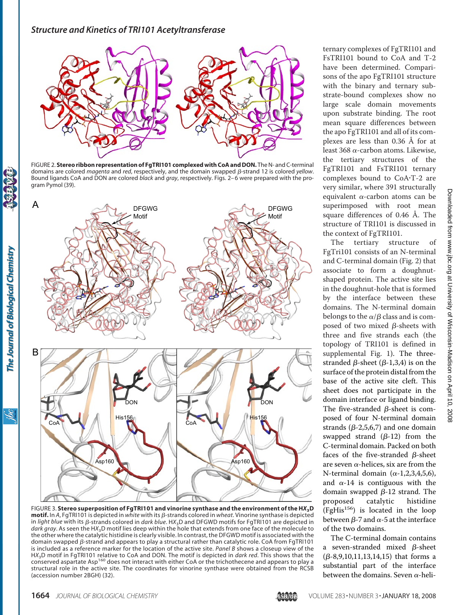

FIGURE 2. **Stereo ribbon representation of FgTRI101 complexed with CoA and DON.** The N- and C-terminal domains are colored *magenta* and *red*, respectively, and the domain swapped β-strand 12 is colored *yellow*. Bound ligands CoA and DON are colored *black* and *gray*, respectively. Figs. 2– 6 were prepared with the program Pymol (39).



FIGURE 3. **Stereo superposition of FgTRI101 and vinorine synthase and the environment of the H***X***3D motif.** In A, FgTRI101 is depicted in *white* with its β-strands colored in *wheat*. Vinorine synthase is depicted in *light blue* with its  $\beta$ -strands colored in *dark blue*. HX<sub>3</sub>D and DFGWD motifs for FgTRI101 are depicted in *dark gray*. As seen the H*X*3D motif lies deep within the hole that extends from one face of the molecule to the other where the catalytic histidine is clearly visible. In contrast, the DFGWD motif is associated with the domain swapped  $\beta$ -strand and appears to play a structural rather than catalytic role. CoA from FgTRI101 is included as a reference marker for the location of the active site. *Panel B* shows a closeup view of the H*X*3D motif in FgTRI101 relative to CoA and DON. The motif is depicted in *dark red*. This shows that the conserved aspartate Asp<sup>160</sup> does not interact with either CoA or the trichothecene and appears to play a structural role in the active site. The coordinates for vinorine synthase were obtained from the RCSB (accession number 2BGH) (32).

ternary complexes of FgTRI101 and FsTRI101 bound to CoA and T-2 have been determined. Comparisons of the apo FgTRI101 structure with the binary and ternary substrate-bound complexes show no large scale domain movements upon substrate binding. The root mean square differences between the apo FgTRI101 and all of its complexes are less than 0.36 Å for at least  $368 \alpha$ -carbon atoms. Likewise, the tertiary structures of the FgTRI101 and FsTRI101 ternary complexes bound to CoA-T-2 are very similar, where 391 structurally equivalent  $\alpha$ -carbon atoms can be superimposed with root mean square differences of 0.46 Å. The structure of TRI101 is discussed in the context of FgTRI101.

The tertiary structure of FgTri101 consists of an N-terminal and C-terminal domain (Fig. 2) that associate to form a doughnutshaped protein. The active site lies in the doughnut-hole that is formed by the interface between these domains. The N-terminal domain belongs to the  $\alpha/\beta$  class and is composed of two mixed  $\beta$ -sheets with three and five strands each (the topology of TRI101 is defined in supplemental [Fig. 1\)](http://www.jbc.org/cgi/content/full//DC1). The threestranded  $\beta$ -sheet ( $\beta$ -1,3,4) is on the surface of the protein distal from the base of the active site cleft. This sheet does not participate in the domain interface or ligand binding. The five-stranded  $\beta$ -sheet is composed of four N-terminal domain strands ( $\beta$ -2,5,6,7) and one domain swapped strand  $(\beta-12)$  from the C-terminal domain. Packed on both faces of the five-stranded  $\beta$ -sheet are seven  $\alpha$ -helices, six are from the N-terminal domain  $(\alpha-1,2,3,4,5,6)$ , and  $\alpha$ -14 is contiguous with the domain swapped  $\beta$ -12 strand. The proposed catalytic histidine  $(FgHis<sup>156</sup>)$  is located in the loop between  $\beta$ -7 and  $\alpha$ -5 at the interface of the two domains.

The C-terminal domain contains a seven-stranded mixed  $\beta$ -sheet  $(\beta-8, 9, 10, 11, 13, 14, 15)$  that forms a substantial part of the interface between the domains. Seven  $\alpha$ -heli-

ibc

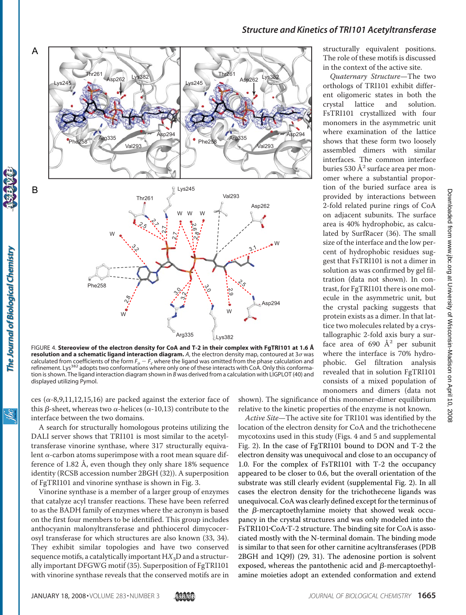

**resolution and a schematic ligand interaction diagram.** A, the electron density map, contoured at 3 $\sigma$  was calculated from coefficients of the form  $F_o - F_c$  where the ligand was omitted from the phase calculation and refinement. Lys<sup>382</sup> adopts two conformations where only one of these interacts with CoA. Only this conformation is shown. The ligand interaction diagram shown in *B* was derived from a calculation with LIGPLOT (40) and displayed utilizing Pymol.

ces ( $\alpha$ -8,9,11,12,15,16) are packed against the exterior face of this  $\beta$ -sheet, whereas two  $\alpha$ -helices ( $\alpha$ -10,13) contribute to the interface between the two domains.

A search for structurally homologous proteins utilizing the DALI server shows that TRI101 is most similar to the acetyltransferase vinorine synthase, where 317 structurally equivalent  $\alpha$ -carbon atoms superimpose with a root mean square difference of 1.82 Å, even though they only share 18% sequence identity (RCSB accession number 2BGH (32)). A superposition of FgTRI101 and vinorine synthase is shown in Fig. 3.

Vinorine synthase is a member of a larger group of enzymes that catalyze acyl transfer reactions. These have been referred to as the BADH family of enzymes where the acronym is based on the first four members to be identified. This group includes anthocyanin malonyltransferase and phthiocerol dimycocerosyl transferase for which structures are also known (33, 34). They exhibit similar topologies and have two conserved sequence motifs, a catalytically important HX<sub>3</sub>D and a structurally important DFGWG motif (35). Superposition of FgTRI101 with vinorine synthase reveals that the conserved motifs are in

shown). The significance of this monomer-dimer equilibrium relative to the kinetic properties of the enzyme is not known.

*Active Site*—The active site for TRI101 was identified by the location of the electron density for CoA and the trichothecene mycotoxins used in this study (Figs. 4 and 5 and supplemental [Fig. 2\)](http://www.jbc.org/cgi/content/full//DC1). In the case of FgTRI101 bound to DON and T-2 the electron density was unequivocal and close to an occupancy of 1.0. For the complex of FsTRI101 with T-2 the occupancy appeared to be closer to 0.6, but the overall orientation of the substrate was still clearly evident (supplemental [Fig. 2\)](http://www.jbc.org/cgi/content/full//DC1). In all cases the electron density for the trichothecene ligands was unequivocal. CoA was clearly defined except for the terminus of the  $\beta$ -mercaptoethylamine moiety that showed weak occupancy in the crystal structures and was only modeled into the FsTRI101·CoA·T-2 structure. The binding site for CoA is associated mostly with the N-terminal domain. The binding mode is similar to that seen for other carnitine acyltransferases (PDB 2BGH and 1Q9J) (29, 31). The adenosine portion is solvent exposed, whereas the pantothenic acid and  $\beta$ -mercaptoethylamine moieties adopt an extended conformation and extend

*Quaternary Structure*—The two orthologs of TRI101 exhibit different oligomeric states in both the crystal lattice and solution. FsTRI101 crystallized with four monomers in the asymmetric unit where examination of the lattice shows that these form two loosely assembled dimers with similar interfaces. The common interface buries 530  $\AA^2$  surface area per monomer where a substantial proportion of the buried surface area is provided by interactions between 2-fold related purine rings of CoA on adjacent subunits. The surface area is 40% hydrophobic, as calculated by SurfRacer (36). The small size of the interface and the low percent of hydrophobic residues suggest that FsTRI101 is not a dimer in solution as was confirmed by gel filtration (data not shown). In contrast, for FgTRI101 there is one molecule in the asymmetric unit, but the crystal packing suggests that protein exists as a dimer. In that lattice two molecules related by a crystallographic 2-fold axis bury a surface area of 690  $\AA$ <sup>2</sup> per subunit where the interface is 70% hydrophobic. Gel filtration analysis revealed that in solution FgTRI101 consists of a mixed population of monomers and dimers (data not

ŇС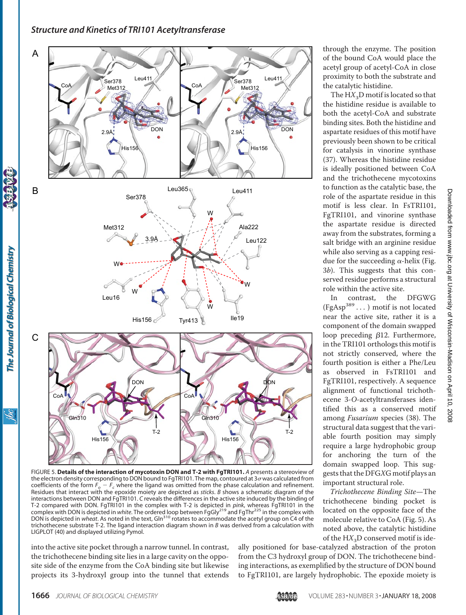

FIGURE 5. **Details of the interaction of mycotoxin DON and T-2 with FgTRI101.** *A* presents a stereoview of the electron density corresponding to DON bound to FgTRI101. The map, contoured at  $3\sigma$  was calculated from coefficients of the form  $F_{o} - F_{c}$  where the ligand was omitted from the phase calculation and refinement. Residues that interact with the epoxide moiety are depicted as *sticks*. *B* shows a schematic diagram of the interactions between DON and FgTRI101. *C* reveals the differences in the active site induced by the binding of T-2 compared with DON. FgTRI101 in the complex with T-2 is depicted in *pink,* whereas FgTRI101 in the<br>complex with DON is depicted in *white.* The ordered loop between FgGly<sup>219</sup> and FgThr<sup>225</sup> in the complex with DON is depicted in *wheat*. As noted in the text, Gln<sup>310</sup> rotates to accommodate the acetyl group on C4 of the trichothecene substrate T-2. The ligand interaction diagram shown in *B* was derived from a calculation with LIGPLOT (40) and displayed utilizing Pymol.

into the active site pocket through a narrow tunnel. In contrast, the trichothecene binding site lies in a large cavity on the opposite side of the enzyme from the CoA binding site but likewise projects its 3-hydroxyl group into the tunnel that extends through the enzyme. The position of the bound CoA would place the acetyl group of acetyl-CoA in close proximity to both the substrate and the catalytic histidine.

The  $H X_3$ D motif is located so that the histidine residue is available to both the acetyl-CoA and substrate binding sites. Both the histidine and aspartate residues of this motif have previously been shown to be critical for catalysis in vinorine synthase (37). Whereas the histidine residue is ideally positioned between CoA and the trichothecene mycotoxins to function as the catalytic base, the role of the aspartate residue in this motif is less clear. In FsTRI101, FgTRI101, and vinorine synthase the aspartate residue is directed away from the substrates, forming a salt bridge with an arginine residue while also serving as a capping residue for the succeeding  $\alpha$ -helix (Fig. 3*b*). This suggests that this conserved residue performs a structural role within the active site.

In contrast, the DFGWG  $(\operatorname{FgAsp}^{389}\dots)$  motif is not located near the active site, rather it is a component of the domain swapped loop preceding  $\beta$ 12. Furthermore, in the TRI101 orthologs this motif is not strictly conserved, where the fourth position is either a Phe/Leu as observed in FsTRI101 and FgTRI101, respectively. A sequence alignment of functional trichothecene 3-*O*-acetyltransferases identified this as a conserved motif among *Fusarium* species (38). The structural data suggest that the variable fourth position may simply require a large hydrophobic group for anchoring the turn of the domain swapped loop. This suggests that the DFG*X*G motif plays an important structural role.

*Trichothecene Binding Site*—The trichothecene binding pocket is located on the opposite face of the molecule relative to CoA (Fig. 5). As noted above, the catalytic histidine of the HX<sub>3</sub>D conserved motif is ide-

ally positioned for base-catalyzed abstraction of the proton from the C3 hydroxyl group of DON. The trichothecene binding interactions, as exemplified by the structure of DON bound to FgTRI101, are largely hydrophobic. The epoxide moiety is

The Journal of Biological Chemistry

<u>івс</u>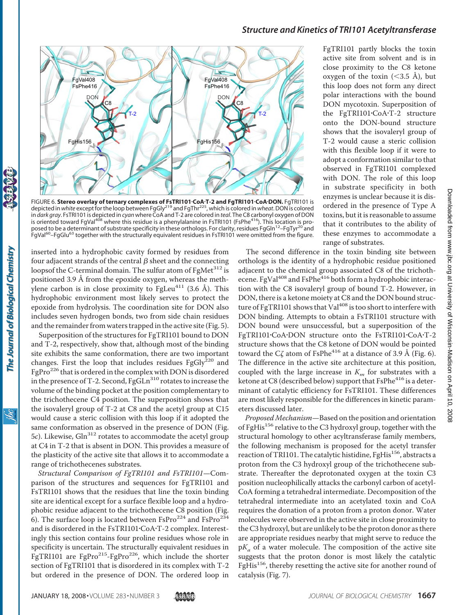

FIGURE 6. **Stereo overlay of ternary complexes of FsTRI101·CoA·T-2 and FgTRI101·CoA·DON.** FgTRI101 is<br>depicted in w*hite* except for the loop between FgGly<sup>219</sup> and FgThr<sup>225</sup>, which is colored in w*heat*. DON is colored in *dark gray*. FsTRI101 is depicted in *cyan* where CoA and T-2 are colored in *teal*. The C8 carbonyl oxygen of DON is oriented toward FgVal<sup>408</sup> where this residue is a phenylalanine in FsTRI101 (FsPhe<sup>416</sup>). This location is proposed to be a determinant of substrate specificity in these orthologs. For clarity, residues FgGln<sup>12</sup>–FgTyr<sup>20</sup> and FgVal<sup>60</sup>–FgGlu<sup>63</sup> together with the structurally equivalent residues in FsTRI101 were omitted from the figure.

inserted into a hydrophobic cavity formed by residues from four adjacent strands of the central  $\beta$  sheet and the connecting loopsof the C-terminal domain. The sulfur atom of FgMet<sup>312</sup> is positioned 3.9 Å from the epoxide oxygen, whereas the methylene carbon is in close proximity to  $Fgleu^{411}$  (3.6 Å). This hydrophobic environment most likely serves to protect the epoxide from hydrolysis. The coordination site for DON also includes seven hydrogen bonds, two from side chain residues and the remainder from waters trapped in the active site (Fig. 5).

Superposition of the structures for FgTRI101 bound to DON and T-2, respectively, show that, although most of the binding site exhibits the same conformation, there are two important changes. First the loop that includes residues FgGly $^{220}$  and FgPro<sup>226</sup> that is ordered in the complex with DON is disordered in the presence of T-2. Second,  $FgGLn^{310}$  rotates to increase the volume of the binding pocket at the position complementary to the trichothecene C4 position. The superposition shows that the isovaleryl group of T-2 at C8 and the acetyl group at C15 would cause a steric collision with this loop if it adopted the same conformation as observed in the presence of DON (Fig. 5*c*). Likewise, Gln312 rotates to accommodate the acetyl group at C4 in T-2 that is absent in DON. This provides a measure of the plasticity of the active site that allows it to accommodate a range of trichothecenes substrates.

*Structural Comparison of FgTRI101 and FsTRI101*—Comparison of the structures and sequences for FgTRI101 and FsTRI101 shows that the residues that line the toxin binding site are identical except for a surface flexible loop and a hydrophobic residue adjacent to the trichothecene C8 position (Fig. 6). The surface loop is located between  $FsPro^{224}$  and  $FsPro^{234}$ and is disordered in the FsTRI101-CoA-T-2 complex. Interestingly this section contains four proline residues whose role in specificity is uncertain. The structurally equivalent residues in FgTRI101 are FgPro<sup>215</sup>-FgPro<sup>226</sup>, which include the shorter section of FgTRI101 that is disordered in its complex with T-2 but ordered in the presence of DON. The ordered loop in

FgTRI101 partly blocks the toxin active site from solvent and is in close proximity to the C8 ketone oxygen of the toxin  $( $3.5 \text{ Å}$ ), but$ this loop does not form any direct polar interactions with the bound DON mycotoxin. Superposition of the FgTRI101-CoA-T-2 structure onto the DON-bound structure shows that the isovaleryl group of T-2 would cause a steric collision with this flexible loop if it were to adopt a conformation similar to that observed in FgTRI101 complexed with DON. The role of this loop in substrate specificity in both enzymes is unclear because it is disordered in the presence of Type A toxins, but it is reasonable to assume that it contributes to the ability of these enzymes to accommodate a range of substrates.

The second difference in the toxin binding site between orthologs is the identity of a hydrophobic residue positioned adjacent to the chemical group associated C8 of the trichothecene. FgVal<sup>408</sup> and FsPhe<sup>416</sup> both form a hydrophobic interaction with the C8 isovaleryl group of bound T-2. However, in DON, there is a ketone moiety at C8 and the DON bound structure of FgTRI101 shows that Val<sup>408</sup> is too short to interfere with DON binding. Attempts to obtain a FsTRI101 structure with DON bound were unsuccessful, but a superposition of the FgTRI101-CoA-DON structure onto the FsTRI101-CoA-T-2 structure shows that the C8 ketone of DON would be pointed toward the C $\zeta$  atom of FsPhe<sup>416</sup> at a distance of 3.9 Å (Fig. 6). The difference in the active site architecture at this position, coupled with the large increase in  $K<sub>m</sub>$  for substrates with a ketone at C8 (described below) support that FsPhe<sup>416</sup> is a determinant of catalytic efficiency for FsTRI101. These differences are most likely responsible for the differences in kinetic parameters discussed later.

*Proposed Mechanism*—Based on the position and orientation of FgHis<sup>156</sup> relative to the C3 hydroxyl group, together with the structural homology to other acyltransferase family members, the following mechanism is proposed for the acetyl transfer reaction of TRI101. The catalytic histidine, FgHis<sup>156</sup>, abstracts a proton from the C3 hydroxyl group of the trichothecene substrate. Thereafter the deprotonated oxygen at the toxin C3 position nucleophilically attacks the carbonyl carbon of acetyl-CoA forming a tetrahedral intermediate. Decomposition of the tetrahedral intermediate into an acetylated toxin and CoA requires the donation of a proton from a proton donor. Water molecules were observed in the active site in close proximity to the C3 hydroxyl, but are unlikely to be the proton donor as there are appropriate residues nearby that might serve to reduce the  $pK_a$  of a water molecule. The composition of the active site suggests that the proton donor is most likely the catalytic FgHis<sup>156</sup>, thereby resetting the active site for another round of catalysis (Fig. 7).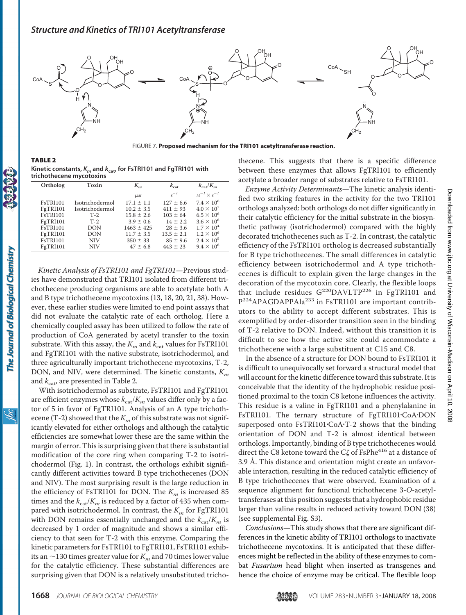

FIGURE 7. **Proposed mechanism for the TRI101 acetyltransferase reaction.**

TABLE 2 **Kinetic constants,** *Km* **and** *k***cat, for FsTRI101 and FgTRI101 with trichothecene mycotoxins**

| Ortholog        | Toxin           | K.,                | $K_{\rm cat}$  | $k_{\rm{cat}}/K_{\rm{on}}$ |
|-----------------|-----------------|--------------------|----------------|----------------------------|
|                 |                 |                    |                |                            |
|                 |                 | $\mu$ <sub>M</sub> | $s^{-1}$       | $M^{-1} \times S^{-1}$     |
| <b>FsTRI101</b> | Isotrichodermol | $17.1 \pm 1.1$     | $127 \pm 6.6$  | $7.4 \times 10^{6}$        |
| FgTRI101        | Isotrichodermol | $10.2 \pm 3.5$     | $411 \pm 93$   | $4.0 \times 10^{7}$        |
| <b>FsTRI101</b> | $T-2$           | $15.8 \pm 2.6$     | $103 \pm 64$   | $6.5 \times 10^{6}$        |
| FgTRI101        | $T-2$           | $3.9 \pm 0.6$      | $14 \pm 2.2$   | $3.6 \times 10^{6}$        |
| FsTRI101        | DON             | $1463 \pm 425$     | $28 \pm 3.6$   | $1.7 \times 10^{4}$        |
| FgTRI101        | DON             | $11.7 \pm 3.5$     | $13.5 \pm 2.1$ | $1.2 \times 10^{6}$        |
| <b>FsTRI101</b> | <b>NIV</b>      | $350 \pm 33$       | $85 \pm 9.6$   | $2.4 \times 10^5$          |
| FgTRI101        | <b>NIV</b>      | $47 \pm 6.8$       | $443 \pm 23$   | $9.4 \times 10^{6}$        |

*Kinetic Analysis of FsTRI101 and FgTRI101*—Previous studies have demonstrated that TRI101 isolated from different trichothecene producing organisms are able to acetylate both A and B type trichothecene mycotoxins (13, 18, 20, 21, 38). However, these earlier studies were limited to end point assays that did not evaluate the catalytic rate of each ortholog. Here a chemically coupled assay has been utilized to follow the rate of production of CoA generated by acetyl transfer to the toxin substrate. With this assay, the  $K_m$  and  $k_{\text{cat}}$  values for FsTRI101 and FgTRI101 with the native substrate, isotrichodermol, and three agriculturally important trichothecene mycotoxins, T-2, DON, and NIV, were determined. The kinetic constants, *Km* and  $k_{\text{cat}}$ , are presented in Table 2.

With isotrichodermol as substrate, FsTRI101 and FgTRI101 are efficient enzymes whose  $k_{\text{cat}}/K_m$  values differ only by a factor of 5 in favor of FgTRI101. Analysis of an A type trichothecene (T-2) showed that the  $K_m$  of this substrate was not significantly elevated for either orthologs and although the catalytic efficiencies are somewhat lower these are the same within the margin of error. This is surprising given that there is substantial modification of the core ring when comparing T-2 to isotrichodermol (Fig. 1). In contrast, the orthologs exhibit significantly different activities toward B type trichothecenes (DON and NIV). The most surprising result is the large reduction in the efficiency of FsTRI101 for DON. The  $K<sub>m</sub>$  is increased 85 times and the  $k_{\text{cat}}/K_m$  is reduced by a factor of 435 when compared with isotrichodermol. In contrast, the  $K_m$  for FgTRI101 with DON remains essentially unchanged and the  $k_{\text{cat}}/K_m$  is decreased by 1 order of magnitude and shows a similar efficiency to that seen for T-2 with this enzyme. Comparing the kinetic parameters for FsTRI101 to FgTRI101, FsTRI101 exhibits an  $\sim$ 130 times greater value for  $K_m$  and 70 times lower value for the catalytic efficiency. These substantial differences are surprising given that DON is a relatively unsubstituted trichothecene. This suggests that there is a specific difference between these enzymes that allows FgTRI101 to efficiently acetylate a broader range of substrates relative to FsTRI101.

*Enzyme Activity Determinants*—The kinetic analysis identified two striking features in the activity for the two TRI101 orthologs analyzed: both orthologs do not differ significantly in their catalytic efficiency for the initial substrate in the biosynthetic pathway (isotrichodermol) compared with the highly decorated trichothecenes such as T-2. In contrast, the catalytic efficiency of the FsTRI101 ortholog is decreased substantially for B type trichothecenes. The small differences in catalytic efficiency between isotrichodermol and A type trichothecenes is difficult to explain given the large changes in the decoration of the mycotoxin core. Clearly, the flexible loops that include residues  $G^{220}$ DAVLTP<sup>226</sup> in FgTRI101 and P<sup>224</sup>APAGDAPPAla<sup>233</sup> in FsTRI101 are important contributors to the ability to accept different substrates. This is exemplified by order-disorder transition seen in the binding of T-2 relative to DON. Indeed, without this transition it is difficult to see how the active site could accommodate a trichothecene with a large substituent at C15 and C8.

In the absence of a structure for DON bound to FsTRI101 it is difficult to unequivocally set forward a structural model that will account for the kinetic difference toward this substrate. It is conceivable that the identity of the hydrophobic residue positioned proximal to the toxin C8 ketone influences the activity. This residue is a valine in FgTRI101 and a phenylalanine in FsTRI101. The ternary structure of FgTRI101-CoA-DON superposed onto FsTRI101-CoA-T-2 shows that the binding orientation of DON and T-2 is almost identical between orthologs. Importantly, binding of B type trichothecenes would direct the C8 ketone toward the C $\zeta$  of FsPhe<sup>416</sup> at a distance of 3.9 Å. This distance and orientation might create an unfavorable interaction, resulting in the reduced catalytic efficiency of B type trichothecenes that were observed. Examination of a sequence alignment for functional trichothecene 3-*O*-acetyltransferases at this position suggests that a hydrophobic residue larger than valine results in reduced activity toward DON (38) (see supplemental [Fig. S3\)](http://www.jbc.org/cgi/content/full//DC1).

*Conclusions*—This study shows that there are significant differences in the kinetic ability of TRI101 orthologs to inactivate trichothecene mycotoxins. It is anticipated that these differences might be reflected in the ability of these enzymes to combat *Fusarium* head blight when inserted as transgenes and hence the choice of enzyme may be critical. The flexible loop